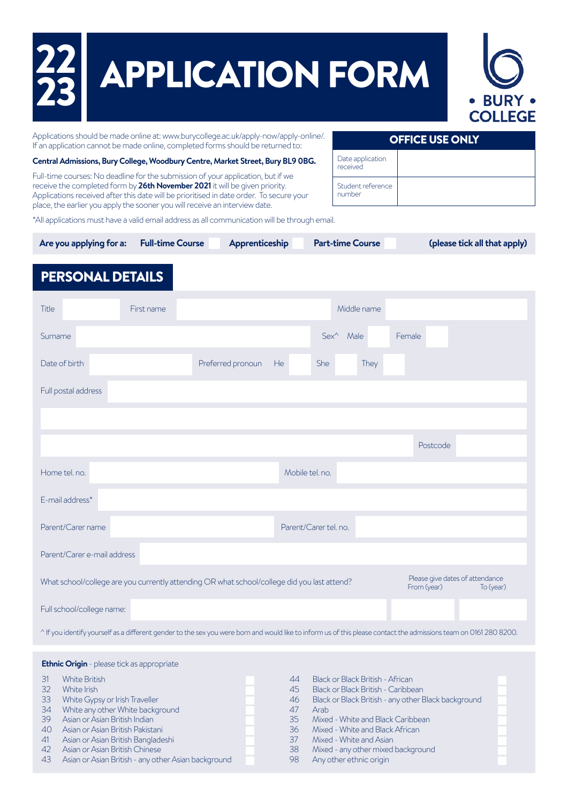| $\frac{22}{23}$<br><b>APPLICATION FORM</b><br><b>COLLEGE</b><br>Applications should be made online at: www.burycollege.ac.uk/apply-now/apply-online/.<br><b>OFFICE USE ONLY</b><br>If an application cannot be made online, completed forms should be returned to:                                                                                                                                                                                                                                                                                                                           |  |  |  |  |  |  |
|----------------------------------------------------------------------------------------------------------------------------------------------------------------------------------------------------------------------------------------------------------------------------------------------------------------------------------------------------------------------------------------------------------------------------------------------------------------------------------------------------------------------------------------------------------------------------------------------|--|--|--|--|--|--|
| Date application<br>Central Admissions, Bury College, Woodbury Centre, Market Street, Bury BL9 OBG.<br>received<br>Full-time courses: No deadline for the submission of your application, but if we<br>receive the completed form by 26th November 2021 it will be given priority.<br>Student reference<br>number<br>Applications received after this date will be prioritised in date order. To secure your<br>place, the earlier you apply the sooner you will receive an interview date.<br>*All applications must have a valid email address as all communication will be through email. |  |  |  |  |  |  |
| <b>Part-time Course</b><br><b>Full-time Course</b><br>Are you applying for a:<br>Apprenticeship<br>(please tick all that apply)                                                                                                                                                                                                                                                                                                                                                                                                                                                              |  |  |  |  |  |  |
| <b>PERSONAL DETAILS</b>                                                                                                                                                                                                                                                                                                                                                                                                                                                                                                                                                                      |  |  |  |  |  |  |
| Middle name<br>Title<br>First name                                                                                                                                                                                                                                                                                                                                                                                                                                                                                                                                                           |  |  |  |  |  |  |
| $Sex^{\wedge}$<br>Female<br>Surname<br>Male                                                                                                                                                                                                                                                                                                                                                                                                                                                                                                                                                  |  |  |  |  |  |  |
| Date of birth<br>Preferred pronoun<br><b>He</b><br><b>She</b><br>They                                                                                                                                                                                                                                                                                                                                                                                                                                                                                                                        |  |  |  |  |  |  |
| Full postal address                                                                                                                                                                                                                                                                                                                                                                                                                                                                                                                                                                          |  |  |  |  |  |  |
|                                                                                                                                                                                                                                                                                                                                                                                                                                                                                                                                                                                              |  |  |  |  |  |  |
| Postcode                                                                                                                                                                                                                                                                                                                                                                                                                                                                                                                                                                                     |  |  |  |  |  |  |
| Home tel. no.<br>Mobile tel. no.                                                                                                                                                                                                                                                                                                                                                                                                                                                                                                                                                             |  |  |  |  |  |  |
| E-mail address*                                                                                                                                                                                                                                                                                                                                                                                                                                                                                                                                                                              |  |  |  |  |  |  |
| Parent/Carer tel. no.<br>Parent/Carer name                                                                                                                                                                                                                                                                                                                                                                                                                                                                                                                                                   |  |  |  |  |  |  |
| Parent/Carer e-mail address                                                                                                                                                                                                                                                                                                                                                                                                                                                                                                                                                                  |  |  |  |  |  |  |
| Please give dates of attendance<br>What school/college are you currently attending OR what school/college did you last attend?<br>From (year)<br>To (year)                                                                                                                                                                                                                                                                                                                                                                                                                                   |  |  |  |  |  |  |
|                                                                                                                                                                                                                                                                                                                                                                                                                                                                                                                                                                                              |  |  |  |  |  |  |

^ If you identify yourself as a different gender to the sex you were born and would like to inform us of this please contact the admissions team on 0161 280 8200.

## **Ethnic Origin** - please tick as appropriate

| 31 | <b>White British</b>                                | 44 | Black or Black British - African                    |  |
|----|-----------------------------------------------------|----|-----------------------------------------------------|--|
| 32 | White Irish                                         | 45 | Black or Black British - Caribbean                  |  |
| 33 | White Gypsy or Irish Traveller                      | 46 | Black or Black British - any other Black background |  |
| 34 | White any other White background                    |    | Arah                                                |  |
| 39 | Asian or Asian British Indian                       | 35 | Mixed - White and Black Caribbean                   |  |
| 40 | Asian or Asian British Pakistani                    | 36 | Mixed - White and Black African                     |  |
| 41 | Asian or Asian British Bangladeshi                  |    | Mixed - White and Asian                             |  |
| 42 | Asian or Asian British Chinese                      | 38 | Mixed - any other mixed background                  |  |
| 43 | Asian or Asian British - any other Asian background | 98 | Any other ethnic origin                             |  |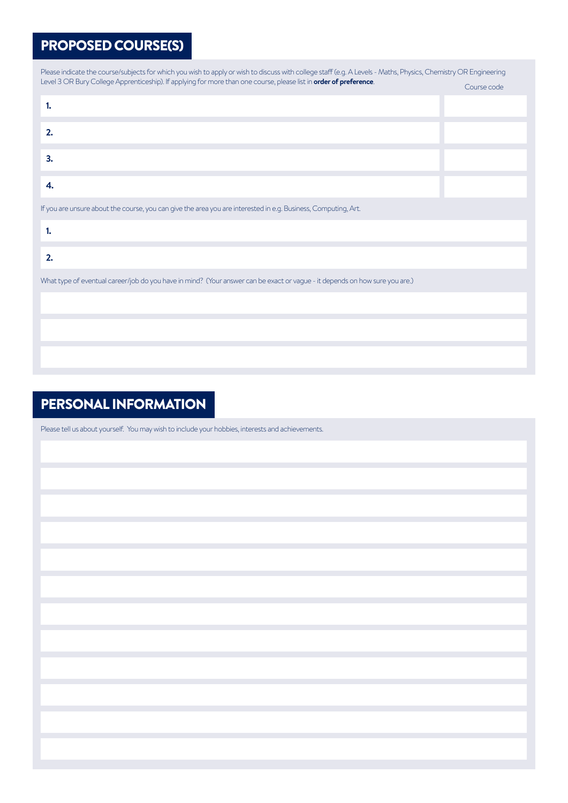## PROPOSED COURSE(S)

| Please indicate the course/subjects for which you wish to apply or wish to discuss with college staff (e.g. A Levels - Maths, Physics, Chemistry OR Engineering |             |  |  |  |  |
|-----------------------------------------------------------------------------------------------------------------------------------------------------------------|-------------|--|--|--|--|
| Level 3 OR Bury College Apprenticeship). If applying for more than one course, please list in order of preference.                                              | Course code |  |  |  |  |
| 1.                                                                                                                                                              |             |  |  |  |  |
| 2.                                                                                                                                                              |             |  |  |  |  |
| 3.                                                                                                                                                              |             |  |  |  |  |
| 4.                                                                                                                                                              |             |  |  |  |  |
| If you are unsure about the course, you can give the area you are interested in e.g. Business, Computing, Art.                                                  |             |  |  |  |  |
| 1.                                                                                                                                                              |             |  |  |  |  |
| 2.                                                                                                                                                              |             |  |  |  |  |
| What type of eventual career/job do you have in mind? (Your answer can be exact or vague - it depends on how sure you are.)                                     |             |  |  |  |  |
|                                                                                                                                                                 |             |  |  |  |  |
|                                                                                                                                                                 |             |  |  |  |  |
|                                                                                                                                                                 |             |  |  |  |  |

# PERSONAL INFORMATION

Please tell us about yourself. You may wish to include your hobbies, interests and achievements.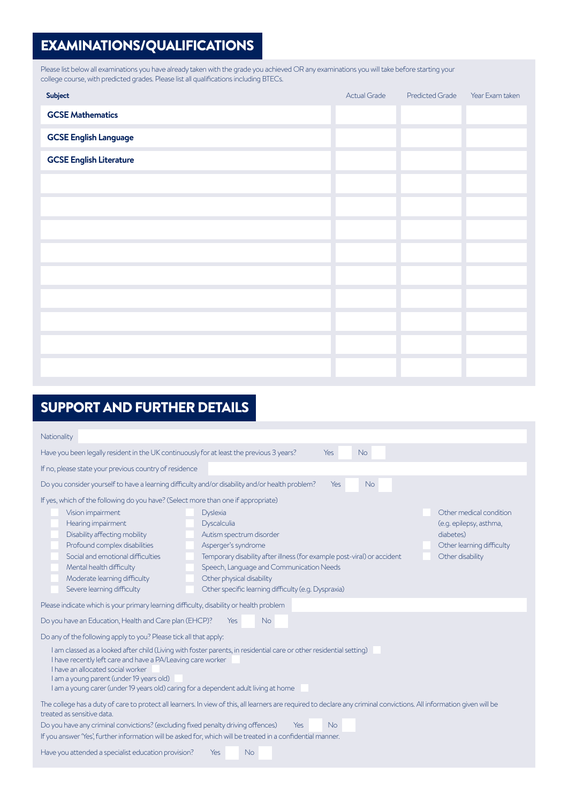## EXAMINATIONS/QUALIFICATIONS

Please list below all examinations you have already taken with the grade you achieved OR any examinations you will take before starting your college course, with predicted grades. Please list all qualifications including BTECs.

| Subject                        | Actual Grade | <b>Predicted Grade</b> | Year Exam taken |
|--------------------------------|--------------|------------------------|-----------------|
| <b>GCSE Mathematics</b>        |              |                        |                 |
| <b>GCSE English Language</b>   |              |                        |                 |
| <b>GCSE English Literature</b> |              |                        |                 |
|                                |              |                        |                 |
|                                |              |                        |                 |
|                                |              |                        |                 |
|                                |              |                        |                 |
|                                |              |                        |                 |
|                                |              |                        |                 |
|                                |              |                        |                 |
|                                |              |                        |                 |
|                                |              |                        |                 |

# SUPPORT AND FURTHER DETAILS

| Nationality                                                                                                                                                                                                                                                                                                                                                                                                                                                                                                                                                                                                                                                  |  |  |  |  |  |
|--------------------------------------------------------------------------------------------------------------------------------------------------------------------------------------------------------------------------------------------------------------------------------------------------------------------------------------------------------------------------------------------------------------------------------------------------------------------------------------------------------------------------------------------------------------------------------------------------------------------------------------------------------------|--|--|--|--|--|
| <b>No</b><br>Have you been legally resident in the UK continuously for at least the previous 3 years?<br>Yes                                                                                                                                                                                                                                                                                                                                                                                                                                                                                                                                                 |  |  |  |  |  |
| If no, please state your previous country of residence                                                                                                                                                                                                                                                                                                                                                                                                                                                                                                                                                                                                       |  |  |  |  |  |
| Do you consider yourself to have a learning difficulty and/or disability and/or health problem?<br>No<br>Yes                                                                                                                                                                                                                                                                                                                                                                                                                                                                                                                                                 |  |  |  |  |  |
| If yes, which of the following do you have? (Select more than one if appropriate)                                                                                                                                                                                                                                                                                                                                                                                                                                                                                                                                                                            |  |  |  |  |  |
| Other medical condition<br>Vision impairment<br><b>Dyslexia</b><br>Hearing impairment<br>Dyscalculia<br>(e.g. epilepsy, asthma,<br>Disability affecting mobility<br>Autism spectrum disorder<br>diabetes)<br>Profound complex disabilities<br>Asperger's syndrome<br>Other learning difficulty<br>Social and emotional difficulties<br>Other disability<br>Temporary disability after illness (for example post-viral) or accident<br>Mental health difficulty<br>Speech, Language and Communication Needs<br>Moderate learning difficulty<br>Other physical disability<br>Severe learning difficulty<br>Other specific learning difficulty (e.g. Dyspraxia) |  |  |  |  |  |
| Please indicate which is your primary learning difficulty, disability or health problem                                                                                                                                                                                                                                                                                                                                                                                                                                                                                                                                                                      |  |  |  |  |  |
| Do you have an Education, Health and Care plan (EHCP)?<br><b>No</b><br>Yes                                                                                                                                                                                                                                                                                                                                                                                                                                                                                                                                                                                   |  |  |  |  |  |
| Do any of the following apply to you? Please tick all that apply:                                                                                                                                                                                                                                                                                                                                                                                                                                                                                                                                                                                            |  |  |  |  |  |
| I am classed as a looked after child (Living with foster parents, in residential care or other residential setting)<br>I have recently left care and have a PA/Leaving care worker<br>I have an allocated social worker<br>I am a young parent (under 19 years old)<br>I am a young carer (under 19 years old) caring for a dependent adult living at home                                                                                                                                                                                                                                                                                                   |  |  |  |  |  |
| The college has a duty of care to protect all learners. In view of this, all learners are required to declare any criminal convictions. All information given will be<br>treated as sensitive data.                                                                                                                                                                                                                                                                                                                                                                                                                                                          |  |  |  |  |  |
| <b>No</b><br>Do you have any criminal convictions? (excluding fixed penalty driving offences)<br>Yes<br>If you answer 'Yes', further information will be asked for, which will be treated in a confidential manner.                                                                                                                                                                                                                                                                                                                                                                                                                                          |  |  |  |  |  |
| Have you attended a specialist education provision?<br><b>No</b><br>Yes                                                                                                                                                                                                                                                                                                                                                                                                                                                                                                                                                                                      |  |  |  |  |  |